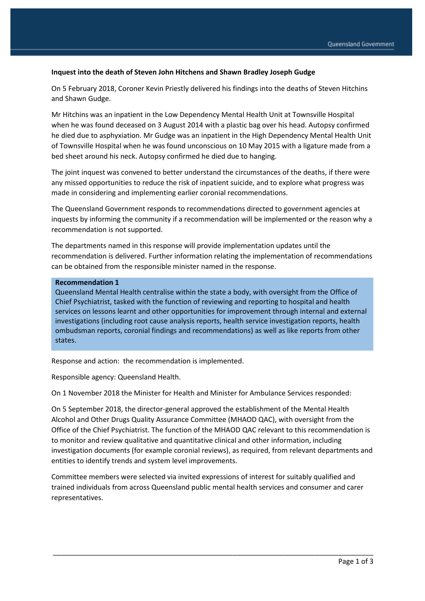#### **Inquest into the death of Steven John Hitchens and Shawn Bradley Joseph Gudge**

On 5 February 2018, Coroner Kevin Priestly delivered his findings into the deaths of Steven Hitchins and Shawn Gudge.

Mr Hitchins was an inpatient in the Low Dependency Mental Health Unit at Townsville Hospital when he was found deceased on 3 August 2014 with a plastic bag over his head. Autopsy confirmed he died due to asphyxiation. Mr Gudge was an inpatient in the High Dependency Mental Health Unit of Townsville Hospital when he was found unconscious on 10 May 2015 with a ligature made from a bed sheet around his neck. Autopsy confirmed he died due to hanging.

The joint inquest was convened to better understand the circumstances of the deaths, if there were any missed opportunities to reduce the risk of inpatient suicide, and to explore what progress was made in considering and implementing earlier coronial recommendations.

The Queensland Government responds to recommendations directed to government agencies at inquests by informing the community if a recommendation will be implemented or the reason why a recommendation is not supported.

The departments named in this response will provide implementation updates until the recommendation is delivered. Further information relating the implementation of recommendations can be obtained from the responsible minister named in the response.

#### **Recommendation 1**

Queensland Mental Health centralise within the state a body, with oversight from the Office of Chief Psychiatrist, tasked with the function of reviewing and reporting to hospital and health services on lessons learnt and other opportunities for improvement through internal and external investigations (including root cause analysis reports, health service investigation reports, health ombudsman reports, coronial findings and recommendations) as well as like reports from other states.

Response and action: the recommendation is implemented.

Responsible agency: Queensland Health.

On 1 November 2018 the Minister for Health and Minister for Ambulance Services responded:

On 5 September 2018, the director-general approved the establishment of the Mental Health Alcohol and Other Drugs Quality Assurance Committee (MHAOD QAC), with oversight from the Office of the Chief Psychiatrist. The function of the MHAOD QAC relevant to this recommendation is to monitor and review qualitative and quantitative clinical and other information, including investigation documents (for example coronial reviews), as required, from relevant departments and entities to identify trends and system level improvements.

Committee members were selected via invited expressions of interest for suitably qualified and trained individuals from across Queensland public mental health services and consumer and carer representatives.

\_\_\_\_\_\_\_\_\_\_\_\_\_\_\_\_\_\_\_\_\_\_\_\_\_\_\_\_\_\_\_\_\_\_\_\_\_\_\_\_\_\_\_\_\_\_\_\_\_\_\_\_\_\_\_\_\_\_\_\_\_\_\_\_\_\_\_\_\_\_\_\_\_\_\_\_\_\_\_\_\_\_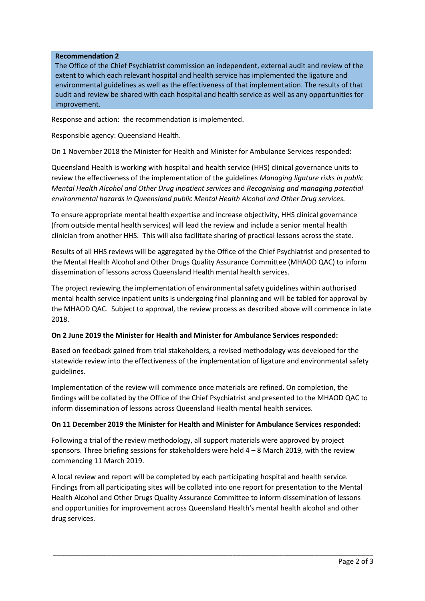### **Recommendation 2**

The Office of the Chief Psychiatrist commission an independent, external audit and review of the extent to which each relevant hospital and health service has implemented the ligature and environmental guidelines as well as the effectiveness of that implementation. The results of that audit and review be shared with each hospital and health service as well as any opportunities for improvement.

Response and action: the recommendation is implemented.

Responsible agency: Queensland Health.

On 1 November 2018 the Minister for Health and Minister for Ambulance Services responded:

Queensland Health is working with hospital and health service (HHS) clinical governance units to review the effectiveness of the implementation of the guidelines *Managing ligature risks in public Mental Health Alcohol and Other Drug inpatient services* and *Recognising and managing potential environmental hazards in Queensland public Mental Health Alcohol and Other Drug services.*

To ensure appropriate mental health expertise and increase objectivity, HHS clinical governance (from outside mental health services) will lead the review and include a senior mental health clinician from another HHS. This will also facilitate sharing of practical lessons across the state.

Results of all HHS reviews will be aggregated by the Office of the Chief Psychiatrist and presented to the Mental Health Alcohol and Other Drugs Quality Assurance Committee (MHAOD QAC) to inform dissemination of lessons across Queensland Health mental health services.

The project reviewing the implementation of environmental safety guidelines within authorised mental health service inpatient units is undergoing final planning and will be tabled for approval by the MHAOD QAC. Subject to approval, the review process as described above will commence in late 2018.

#### **On 2 June 2019 the Minister for Health and Minister for Ambulance Services responded:**

Based on feedback gained from trial stakeholders, a revised methodology was developed for the statewide review into the effectiveness of the implementation of ligature and environmental safety guidelines.

Implementation of the review will commence once materials are refined. On completion, the findings will be collated by the Office of the Chief Psychiatrist and presented to the MHAOD QAC to inform dissemination of lessons across Queensland Health mental health services.

# **On 11 December 2019 the Minister for Health and Minister for Ambulance Services responded:**

Following a trial of the review methodology, all support materials were approved by project sponsors. Three briefing sessions for stakeholders were held  $4 - 8$  March 2019, with the review commencing 11 March 2019.

A local review and report will be completed by each participating hospital and health service. Findings from all participating sites will be collated into one report for presentation to the Mental Health Alcohol and Other Drugs Quality Assurance Committee to inform dissemination of lessons and opportunities for improvement across Queensland Health's mental health alcohol and other drug services.

\_\_\_\_\_\_\_\_\_\_\_\_\_\_\_\_\_\_\_\_\_\_\_\_\_\_\_\_\_\_\_\_\_\_\_\_\_\_\_\_\_\_\_\_\_\_\_\_\_\_\_\_\_\_\_\_\_\_\_\_\_\_\_\_\_\_\_\_\_\_\_\_\_\_\_\_\_\_\_\_\_\_